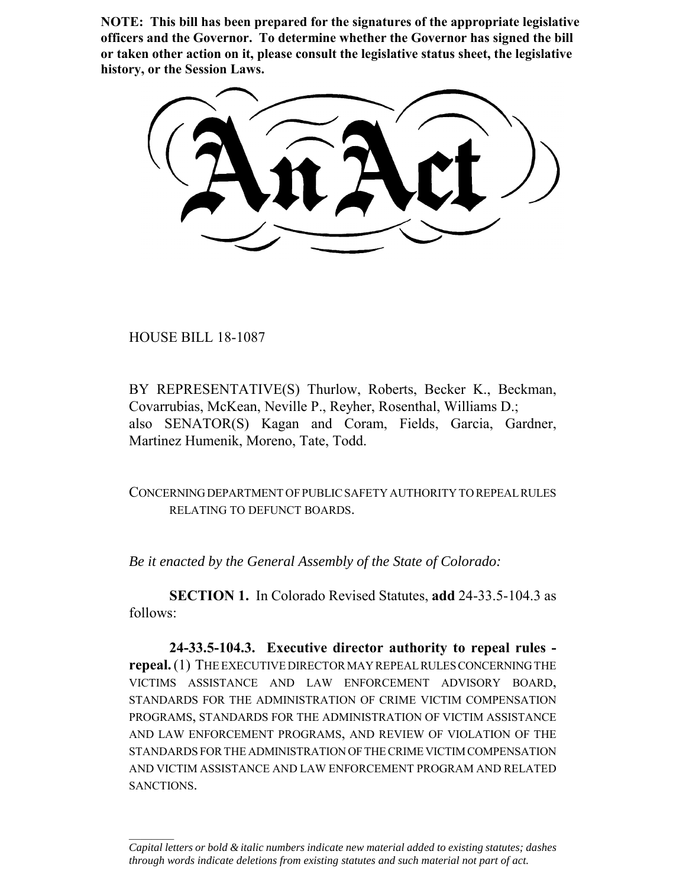**NOTE: This bill has been prepared for the signatures of the appropriate legislative officers and the Governor. To determine whether the Governor has signed the bill or taken other action on it, please consult the legislative status sheet, the legislative history, or the Session Laws.**

HOUSE BILL 18-1087

 $\frac{1}{2}$ 

BY REPRESENTATIVE(S) Thurlow, Roberts, Becker K., Beckman, Covarrubias, McKean, Neville P., Reyher, Rosenthal, Williams D.; also SENATOR(S) Kagan and Coram, Fields, Garcia, Gardner, Martinez Humenik, Moreno, Tate, Todd.

CONCERNING DEPARTMENT OF PUBLIC SAFETY AUTHORITY TO REPEAL RULES RELATING TO DEFUNCT BOARDS.

*Be it enacted by the General Assembly of the State of Colorado:*

**SECTION 1.** In Colorado Revised Statutes, **add** 24-33.5-104.3 as follows:

**24-33.5-104.3. Executive director authority to repeal rules repeal.** (1) THE EXECUTIVE DIRECTOR MAY REPEAL RULES CONCERNING THE VICTIMS ASSISTANCE AND LAW ENFORCEMENT ADVISORY BOARD, STANDARDS FOR THE ADMINISTRATION OF CRIME VICTIM COMPENSATION PROGRAMS, STANDARDS FOR THE ADMINISTRATION OF VICTIM ASSISTANCE AND LAW ENFORCEMENT PROGRAMS, AND REVIEW OF VIOLATION OF THE STANDARDS FOR THE ADMINISTRATION OF THE CRIME VICTIM COMPENSATION AND VICTIM ASSISTANCE AND LAW ENFORCEMENT PROGRAM AND RELATED SANCTIONS.

*Capital letters or bold & italic numbers indicate new material added to existing statutes; dashes through words indicate deletions from existing statutes and such material not part of act.*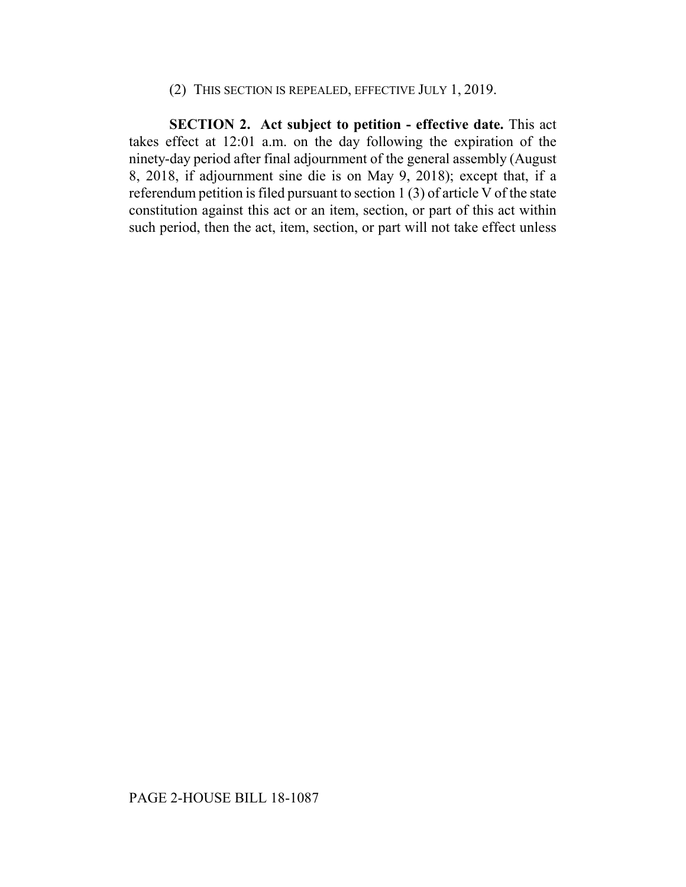## (2) THIS SECTION IS REPEALED, EFFECTIVE JULY 1, 2019.

**SECTION 2. Act subject to petition - effective date.** This act takes effect at 12:01 a.m. on the day following the expiration of the ninety-day period after final adjournment of the general assembly (August 8, 2018, if adjournment sine die is on May 9, 2018); except that, if a referendum petition is filed pursuant to section 1 (3) of article V of the state constitution against this act or an item, section, or part of this act within such period, then the act, item, section, or part will not take effect unless